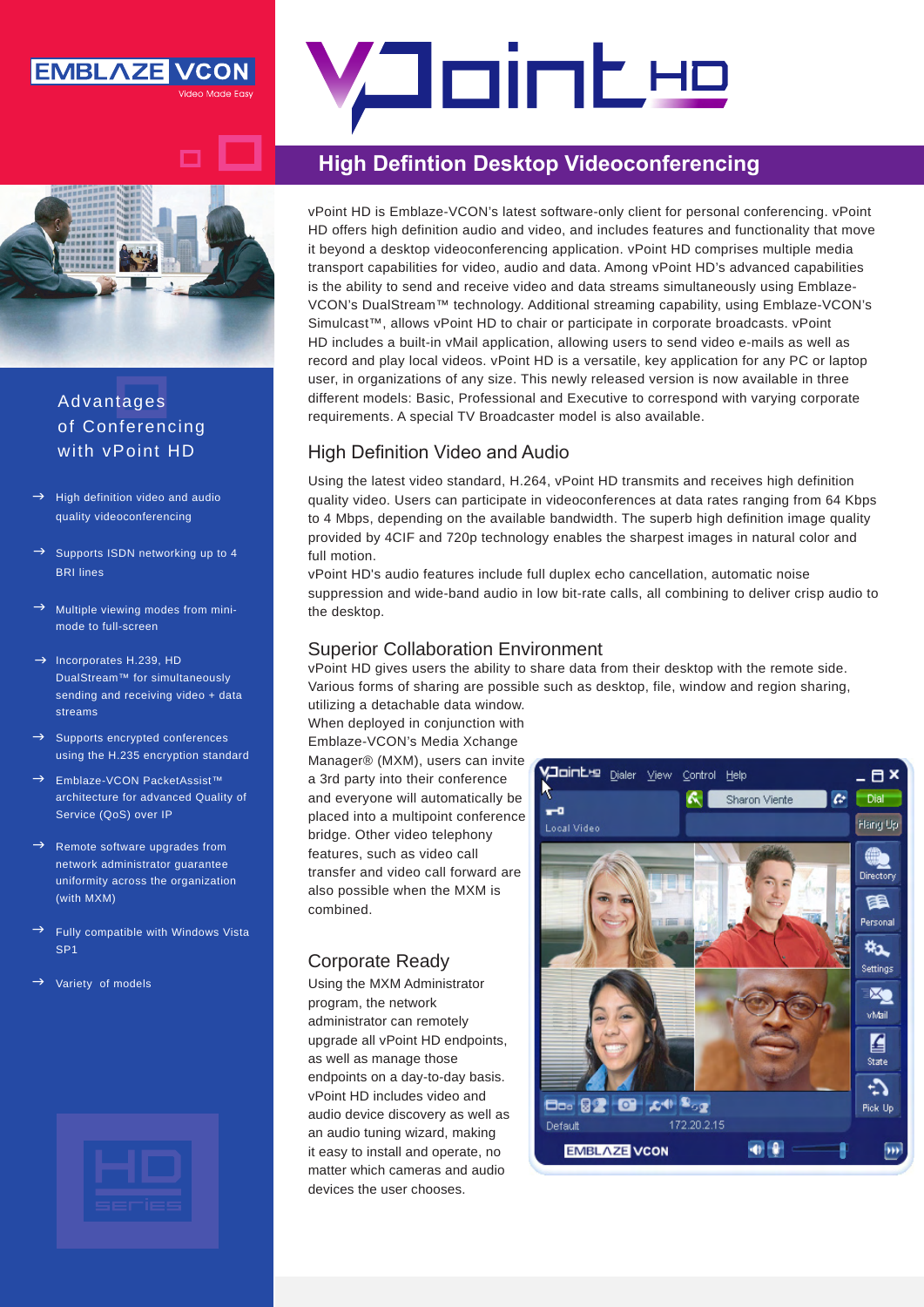

# <u>Aointe</u>

# **High Defintion Desktop Videoconferencing**

vPoint HD is Emblaze-VCON's latest software-only client for personal conferencing. vPoint HD offers high definition audio and video, and includes features and functionality that move it beyond a desktop videoconferencing application. vPoint HD comprises multiple media transport capabilities for video, audio and data. Among vPoint HD's advanced capabilities VCON's DualStream<sup>™</sup> technology. Additional streaming capability, using Emblaze-VCON's is the ability to send and receive video and data streams simultaneously using Emblaze-Simulcast™, allows vPoint HD to chair or participate in corporate broadcasts. vPoint HD includes a built-in vMail application, allowing users to send video e-mails as well as record and play local videos. vPoint HD is a versatile, key application for any PC or laptop user, in organizations of any size. This newly released version is now available in three different models: Basic, Professional and Executive to correspond with varying corporate requirements. A special TV Broadcaster model is also available.

# High Definition Video and Audio

Using the latest video standard, H.264, vPoint HD transmits and receives high definition quality video. Users can participate in videoconferences at data rates ranging from 64 Kbps to 4 Mbps, depending on the available bandwidth. The superb high definition image quality provided by 4CIF and 720p technology enables the sharpest images in natural color and full motion.

vPoint HD's audio features include full duplex echo cancellation, automatic noise suppression and wide-band audio in low bit-rate calls, all combining to deliver crisp audio to the desktop.

### **Superior Collaboration Environment**

vPoint HD gives users the ability to share data from their desktop with the remote side. Various forms of sharing are possible such as desktop, file, window and region sharing,

utilizing a detachable data window. When deployed in conjunction with Emblaze-VCON's Media Xchange Manager® (MXM), users can invite a 3rd party into their conference and everyone will automatically be placed into a multipoint conference bridge. Other video telephony features, such as video call transfer and video call forward are also possible when the MXM is .combined

## Corporate Ready

Using the MXM Administrator program, the network administrator can remotely upgrade all vPoint HD endpoints, as well as manage those endpoints on a day-to-day basis. vPoint HD includes video and audio device discovery as well as an audio tuning wizard, making it easy to install and operate, no matter which cameras and audio devices the user chooses.



# Advantages of Conferencing with vPoint HD

- High definition video and audio quality videoconferencing  $\rightarrow$
- Supports ISDN networking up to 4 **BRI** lines  $\rightarrow$
- Multiple viewing modes from mini-<br>mode to full-screen  $\rightarrow$
- $\rightarrow$  Incorporates H.239, HD **DualStream™ for simultaneously** sending and receiving video + data streams
- Supports encrypted conferences using the H.235 encryption standard  $\rightarrow$
- Emblaze-VCON PacketAssist™ architecture for advanced Quality of Service (QoS) over IP  $\rightarrow$
- Remote software upgrades from network administrator quarantee uniformity across the organization (with  $MXM$ )  $\rightarrow$
- Fully compatible with Windows Vista SP<sub>1</sub>  $\rightarrow$
- Variety of models  $\rightarrow$